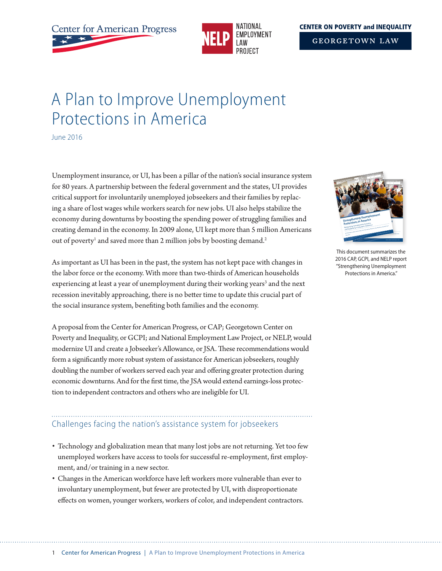

#### **CENTER ON POVERTY and INEOUALITY**

**GEORGETOWN LAW** 

# A Plan to Improve Unemployment Protections in America

June 2016

Unemployment insurance, or UI, has been a pillar of the nation's social insurance system for 80 years. A partnership between the federal government and the states, UI provides critical support for involuntarily unemployed jobseekers and their families by replacing a share of lost wages while workers search for new jobs. UI also helps stabilize the economy during downturns by boosting the spending power of struggling families and creating demand in the economy. In 2009 alone, UI kept more than 5 million Americans out of poverty<sup>1</sup> and saved more than 2 million jobs by boosting demand.<sup>2</sup>

As important as UI has been in the past, the system has not kept pace with changes in the labor force or the economy. With more than two-thirds of American households experiencing at least a year of unemployment during their working years<sup>3</sup> and the next recession inevitably approaching, there is no better time to update this crucial part of the social insurance system, benefiting both families and the economy.

A proposal from the Center for American Progress, or CAP; Georgetown Center on Poverty and Inequality, or GCPI; and National Employment Law Project, or NELP, would modernize UI and create a Jobseeker's Allowance, or JSA. These recommendations would form a significantly more robust system of assistance for American jobseekers, roughly doubling the number of workers served each year and offering greater protection during economic downturns. And for the first time, the JSA would extend earnings-loss protection to independent contractors and others who are ineligible for UI.

# Challenges facing the nation's assistance system for jobseekers

- Technology and globalization mean that many lost jobs are not returning. Yet too few unemployed workers have access to tools for successful re-employment, first employment, and/or training in a new sector.
- Changes in the American workforce have left workers more vulnerable than ever to involuntary unemployment, but fewer are protected by UI, with disproportionate effects on women, younger workers, workers of color, and independent contractors.



This document summarizes the 2016 CAP, GCPI, and NELP report "Strengthening Unemployment Protections in America."